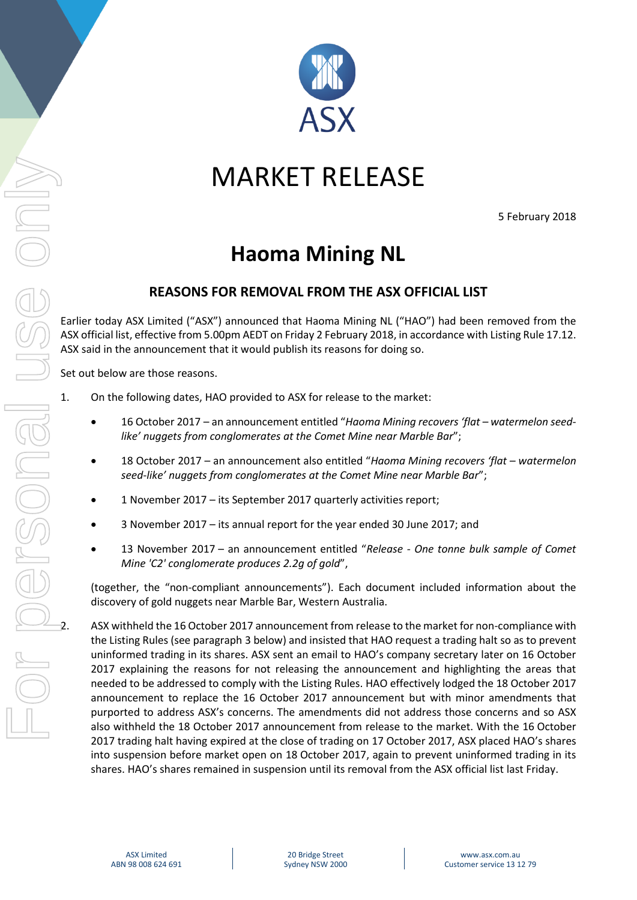

## MARKET RELEASE

5 February 2018

## **Haoma Mining NL**

## **REASONS FOR REMOVAL FROM THE ASX OFFICIAL LIST**

Earlier today ASX Limited ("ASX") announced that Haoma Mining NL ("HAO") had been removed from the ASX official list, effective from 5.00pm AEDT on Friday 2 February 2018, in accordance with Listing Rule 17.12. ASX said in the announcement that it would publish its reasons for doing so.

Set out below are those reasons.

- 1. On the following dates, HAO provided to ASX for release to the market:
	- 16 October 2017 an announcement entitled "*Haoma Mining recovers 'flat – watermelon seedlike' nuggets from conglomerates at the Comet Mine near Marble Bar*";
	- 18 October 2017 an announcement also entitled "*Haoma Mining recovers 'flat – watermelon seed-like' nuggets from conglomerates at the Comet Mine near Marble Bar*";
	- 1 November 2017 its September 2017 quarterly activities report;
	- 3 November 2017 its annual report for the year ended 30 June 2017; and
	- 13 November 2017 an announcement entitled "*Release - One tonne bulk sample of Comet Mine 'C2' conglomerate produces 2.2g of gold*",

(together, the "non-compliant announcements"). Each document included information about the discovery of gold nuggets near Marble Bar, Western Australia.

2. ASX withheld the 16 October 2017 announcement from release to the market for non-compliance with the Listing Rules (see paragraph [3](#page-1-0) below) and insisted that HAO request a trading halt so as to prevent uninformed trading in its shares. ASX sent an email to HAO's company secretary later on 16 October 2017 explaining the reasons for not releasing the announcement and highlighting the areas that needed to be addressed to comply with the Listing Rules. HAO effectively lodged the 18 October 2017 announcement to replace the 16 October 2017 announcement but with minor amendments that purported to address ASX's concerns. The amendments did not address those concerns and so ASX also withheld the 18 October 2017 announcement from release to the market. With the 16 October 2017 trading halt having expired at the close of trading on 17 October 2017, ASX placed HAO's shares into suspension before market open on 18 October 2017, again to prevent uninformed trading in its shares. HAO's shares remained in suspension until its removal from the ASX official list last Friday.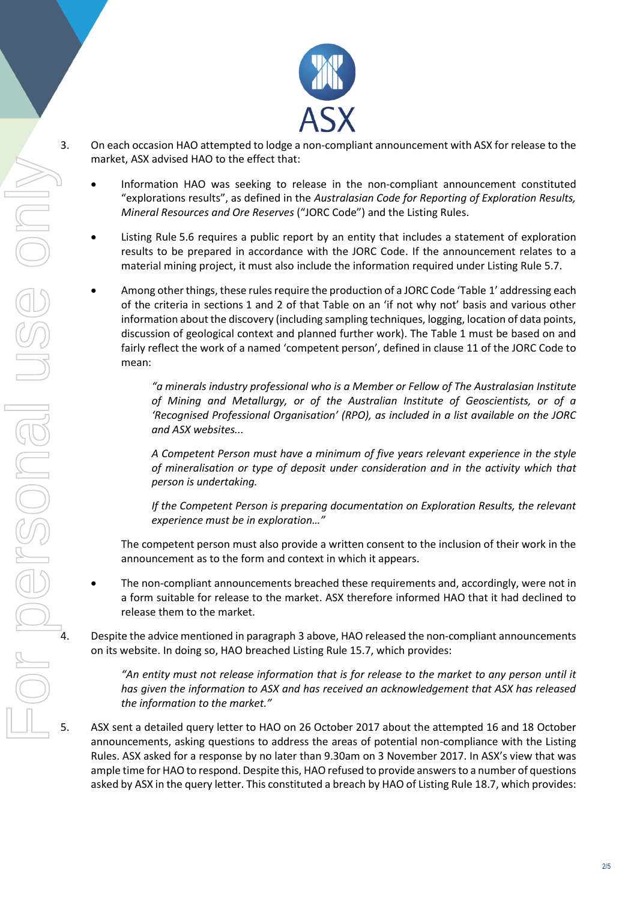

- <span id="page-1-0"></span>3. On each occasion HAO attempted to lodge a non-compliant announcement with ASX for release to the market, ASX advised HAO to the effect that:
	- Information HAO was seeking to release in the non-compliant announcement constituted "explorations results", as defined in the *Australasian Code for Reporting of Exploration Results, Mineral Resources and Ore Reserves* ("JORC Code") and the Listing Rules.
	- Listing Rule 5.6 requires a public report by an entity that includes a statement of exploration results to be prepared in accordance with the JORC Code. If the announcement relates to a material mining project, it must also include the information required under Listing Rule 5.7.
	- Among other things, these rules require the production of a JORC Code 'Table 1' addressing each of the criteria in sections 1 and 2 of that Table on an 'if not why not' basis and various other information about the discovery (including sampling techniques, logging, location of data points, discussion of geological context and planned further work). The Table 1 must be based on and fairly reflect the work of a named 'competent person', defined in clause 11 of the JORC Code to mean:

*"a minerals industry professional who is a Member or Fellow of The Australasian Institute of Mining and Metallurgy, or of the Australian Institute of Geoscientists, or of a 'Recognised Professional Organisation' (RPO), as included in a list available on the JORC and ASX websites...*

*A Competent Person must have a minimum of five years relevant experience in the style of mineralisation or type of deposit under consideration and in the activity which that person is undertaking.*

*If the Competent Person is preparing documentation on Exploration Results, the relevant experience must be in exploration…"*

The competent person must also provide a written consent to the inclusion of their work in the announcement as to the form and context in which it appears.

 The non-compliant announcements breached these requirements and, accordingly, were not in a form suitable for release to the market. ASX therefore informed HAO that it had declined to release them to the market.

4. Despite the advice mentioned in paragraph [3](#page-1-0) above, HAO released the non-compliant announcements on its website. In doing so, HAO breached Listing Rule 15.7, which provides:

*"An entity must not release information that is for release to the market to any person until it has given the information to ASX and has received an acknowledgement that ASX has released the information to the market."*

5. ASX sent a detailed query letter to HAO on 26 October 2017 about the attempted 16 and 18 October announcements, asking questions to address the areas of potential non-compliance with the Listing Rules. ASX asked for a response by no later than 9.30am on 3 November 2017. In ASX's view that was ample time for HAO to respond. Despite this, HAO refused to provide answers to a number of questions asked by ASX in the query letter. This constituted a breach by HAO of Listing Rule 18.7, which provides: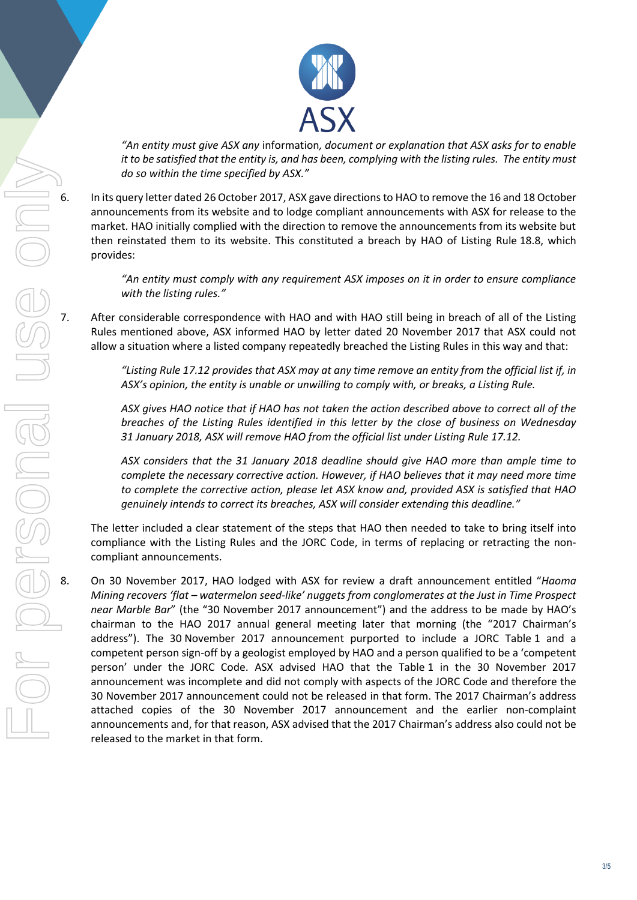

*"An entity must give ASX any* information*, document or explanation that ASX asks for to enable it to be satisfied that the entity is, and has been, complying with the listing rules. The entity must do so within the time specified by ASX."*

6. In its query letter dated 26 October 2017, ASX gave directions to HAO to remove the 16 and 18 October announcements from its website and to lodge compliant announcements with ASX for release to the market. HAO initially complied with the direction to remove the announcements from its website but then reinstated them to its website. This constituted a breach by HAO of Listing Rule 18.8, which provides:

> *"An entity must comply with any requirement ASX imposes on it in order to ensure compliance with the listing rules."*

7. After considerable correspondence with HAO and with HAO still being in breach of all of the Listing Rules mentioned above, ASX informed HAO by letter dated 20 November 2017 that ASX could not allow a situation where a listed company repeatedly breached the Listing Rules in this way and that:

> *"Listing Rule 17.12 provides that ASX may at any time remove an entity from the official list if, in ASX's opinion, the entity is unable or unwilling to comply with, or breaks, a Listing Rule.*

> *ASX gives HAO notice that if HAO has not taken the action described above to correct all of the breaches of the Listing Rules identified in this letter by the close of business on Wednesday 31 January 2018, ASX will remove HAO from the official list under Listing Rule 17.12.*

> *ASX considers that the 31 January 2018 deadline should give HAO more than ample time to complete the necessary corrective action. However, if HAO believes that it may need more time to complete the corrective action, please let ASX know and, provided ASX is satisfied that HAO genuinely intends to correct its breaches, ASX will consider extending this deadline."*

The letter included a clear statement of the steps that HAO then needed to take to bring itself into compliance with the Listing Rules and the JORC Code, in terms of replacing or retracting the noncompliant announcements.

<span id="page-2-0"></span>8. On 30 November 2017, HAO lodged with ASX for review a draft announcement entitled "*Haoma Mining recovers 'flat – watermelon seed-like' nuggets from conglomerates at the Just in Time Prospect near Marble Bar*" (the "30 November 2017 announcement") and the address to be made by HAO's chairman to the HAO 2017 annual general meeting later that morning (the "2017 Chairman's address"). The 30 November 2017 announcement purported to include a JORC Table 1 and a competent person sign-off by a geologist employed by HAO and a person qualified to be a 'competent person' under the JORC Code. ASX advised HAO that the Table 1 in the 30 November 2017 announcement was incomplete and did not comply with aspects of the JORC Code and therefore the 30 November 2017 announcement could not be released in that form. The 2017 Chairman's address attached copies of the 30 November 2017 announcement and the earlier non-complaint announcements and, for that reason, ASX advised that the 2017 Chairman's address also could not be released to the market in that form.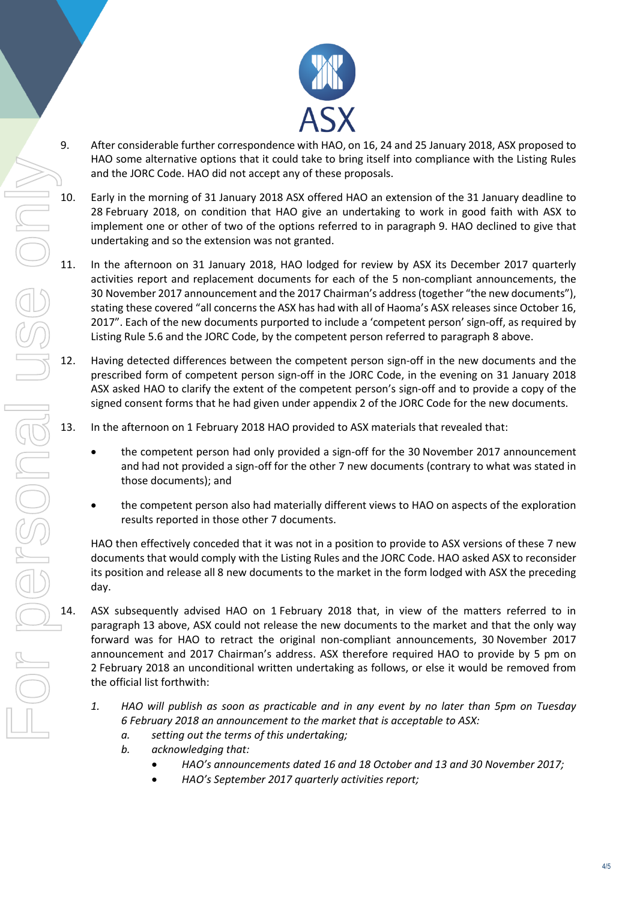

- <span id="page-3-0"></span>9. After considerable further correspondence with HAO, on 16, 24 and 25 January 2018, ASX proposed to HAO some alternative options that it could take to bring itself into compliance with the Listing Rules and the JORC Code. HAO did not accept any of these proposals.
- 10. Early in the morning of 31 January 2018 ASX offered HAO an extension of the 31 January deadline to 28 February 2018, on condition that HAO give an undertaking to work in good faith with ASX to implement one or other of two of the options referred to in paragraph [9.](#page-3-0) HAO declined to give that undertaking and so the extension was not granted.
- 11. In the afternoon on 31 January 2018, HAO lodged for review by ASX its December 2017 quarterly activities report and replacement documents for each of the 5 non-compliant announcements, the 30 November 2017 announcement and the 2017 Chairman's address(together "the new documents"), stating these covered "all concerns the ASX has had with all of Haoma's ASX releases since October 16, 2017". Each of the new documents purported to include a 'competent person' sign-off, as required by Listing Rule 5.6 and the JORC Code, by the competent person referred to paragraph [8](#page-2-0) above.
- 12. Having detected differences between the competent person sign-off in the new documents and the prescribed form of competent person sign-off in the JORC Code, in the evening on 31 January 2018 ASX asked HAO to clarify the extent of the competent person's sign-off and to provide a copy of the signed consent forms that he had given under appendix 2 of the JORC Code for the new documents.
- <span id="page-3-1"></span>13. In the afternoon on 1 February 2018 HAO provided to ASX materials that revealed that:
	- the competent person had only provided a sign-off for the 30 November 2017 announcement and had not provided a sign-off for the other 7 new documents (contrary to what was stated in those documents); and
	- the competent person also had materially different views to HAO on aspects of the exploration results reported in those other 7 documents.

HAO then effectively conceded that it was not in a position to provide to ASX versions of these 7 new documents that would comply with the Listing Rules and the JORC Code. HAO asked ASX to reconsider its position and release all 8 new documents to the market in the form lodged with ASX the preceding day.

- <span id="page-3-2"></span>14. ASX subsequently advised HAO on 1 February 2018 that, in view of the matters referred to in paragraph [13](#page-3-1) above, ASX could not release the new documents to the market and that the only way forward was for HAO to retract the original non-compliant announcements, 30 November 2017 announcement and 2017 Chairman's address. ASX therefore required HAO to provide by 5 pm on 2 February 2018 an unconditional written undertaking as follows, or else it would be removed from the official list forthwith:
	- *1. HAO will publish as soon as practicable and in any event by no later than 5pm on Tuesday 6 February 2018 an announcement to the market that is acceptable to ASX:*
		- *a. setting out the terms of this undertaking;*
		- *b. acknowledging that:*
			- *HAO's announcements dated 16 and 18 October and 13 and 30 November 2017;*
			- *HAO's September 2017 quarterly activities report;*